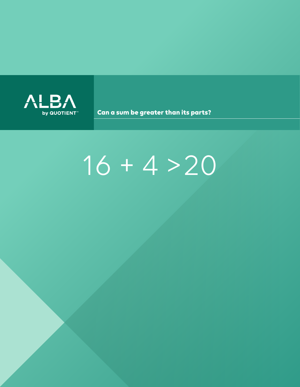

Can a sum be greater than its parts?

# $16 + 4 > 20$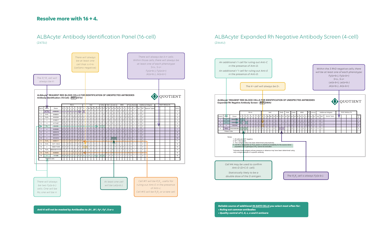

|     |          |               |              | Rh-hr    |              |                |              |     |     |                |  | Kell                                   |     |                     |  |     | Duffy<br>Kidd  |       |          |                | Lewis |  | <b>MNS</b>                                                                                                                                                      |     |             |     |              | P Lutheran   |             | <b>Additional Antigens</b> |                 |          |          | <b>TEST RESULTS</b> |               |  |  |  |  |  |      |
|-----|----------|---------------|--------------|----------|--------------|----------------|--------------|-----|-----|----------------|--|----------------------------------------|-----|---------------------|--|-----|----------------|-------|----------|----------------|-------|--|-----------------------------------------------------------------------------------------------------------------------------------------------------------------|-----|-------------|-----|--------------|--------------|-------------|----------------------------|-----------------|----------|----------|---------------------|---------------|--|--|--|--|--|------|
| $=$ | Rh-hr    |               | Donor        |          | $\mathsf{C}$ | Ε              | $\mathbf{C}$ | e l |     |                |  | $\mathbf{v}$ $\mathbf{c}$ $\mathbf{k}$ |     |                     |  |     |                |       |          |                |       |  | $k  Kp^a Kp^b $ *Js <sup>a</sup>  *Js <sup>b</sup>  Fy <sup>a</sup>  Fy <sup>a</sup>  Jk <sup>a</sup>  Jk <sup>b</sup>  Le <sup>a</sup>  Le <sup>b</sup>  M   N |     |             |     |              |              |             | S S P1 Luª Luº             |                 | Xqª      | Wrª      |                     | Special Types |  |  |  |  |  | Cell |
|     | 'n       |               | $6042256$ 0  |          | $\pm$        | $\overline{0}$ | $+$          | $+$ |     | $+ 0$          |  | $0$ $\overline{0}$                     |     | $\Omega$<br>$+$     |  | $+$ | 0 <sup>1</sup> | $+$   | $\Omega$ | $+$            |       |  | $+$ + $0$                                                                                                                                                       |     | $0$ +       | $+$ | $+$          | $+$          | $+$         | $\Omega$                   | $+$             | $\Omega$ | $\Omega$ |                     |               |  |  |  |  |  |      |
|     | r'r      |               | $3300886$ 0  |          |              | $0$ +          | $+$          | $+$ |     |                |  | $+ 0 0 0 0$                            | $+$ | $+$                 |  | $+$ | $0 + 1 +$      |       |          | 0 <sup>1</sup> |       |  | $0 + 1 +$                                                                                                                                                       |     |             |     | $0 + 00 + 0$ |              |             | $\circ$                    | $+$ $\parallel$ | $+$      | $\Omega$ |                     |               |  |  |  |  |  | 2    |
|     | rr       |               | 1082646      | $\Omega$ |              | $0$ 0          | $+$          | $+$ | $+$ | 0              |  | $0$ $+$                                |     | $\mathbf{0}$<br>$+$ |  | $+$ | 0 <sup>1</sup> | $+$   | $\Omega$ | $+$            |       |  | $+ 0 0$                                                                                                                                                         |     | $+$ $+$ $+$ | $+$ | $+1$         | $\mathbf{0}$ | $\circ$     | $\overline{0}$             | $+$ $\parallel$ | $+$      | $\Omega$ |                     |               |  |  |  |  |  | 3    |
|     | $R_0R_0$ |               | DN20080985 + |          |              | $0$ 0          | $+$          | $+$ | $+$ | $\overline{0}$ |  | $0$ 0                                  |     | $\mathbf 0$<br>$+$  |  | $+$ | $\Omega$       | $\pm$ | $\Omega$ | $\mathbf{0}$   |       |  | $+$ 0                                                                                                                                                           | $+$ | $+$         | $+$ | $\Omega$     | $+$          | $+$ $\perp$ | $\Omega$                   | $+$             | $\Omega$ |          |                     |               |  |  |  |  |  |      |
|     |          | Patient Cells |              |          |              |                |              |     |     |                |  |                                        |     |                     |  |     |                |       |          |                |       |  |                                                                                                                                                                 |     |             |     |              |              |             |                            |                 |          |          |                     |               |  |  |  |  |  |      |
|     |          |               |              |          |              |                |              |     |     |                |  |                                        |     |                     |  |     |                |       |          |                |       |  |                                                                                                                                                                 |     |             |     |              |              |             |                            |                 |          |          |                     |               |  |  |  |  |  |      |

**Lot No: V173229**





*Within the 3 RhD negative cells, there will be at least one of each phenotype: Fy(a+b-), Fy(a-b+) S+s-, S-s+ Le(a-b+), Le(a+b-) Jk(a+b-), Jk(a-b+)*

| urce donor                                |  |
|-------------------------------------------|--|
| termined using                            |  |
|                                           |  |
|                                           |  |
| The $R_{0}R_{0}$ cell is always Fy(a-b-). |  |

*Reliable source of additional IN-DATE CELLS you select most often for:*

- *Ruling out common antibodies*
- *Quality control of C, E, c, e and K antisera*

Anti-K will not be masked by Antibodies to Jk<sup>a</sup>, Jk<sup>b</sup>, Fy<sup>a</sup>, Fy<sup>b</sup>, S or s

### ALBAcyte® Antibody Identification Panel (16-cell) (Z473U)

#### ALBAcyte® Expanded Rh Negative Antibody Screen (4-cell) (Z464U)